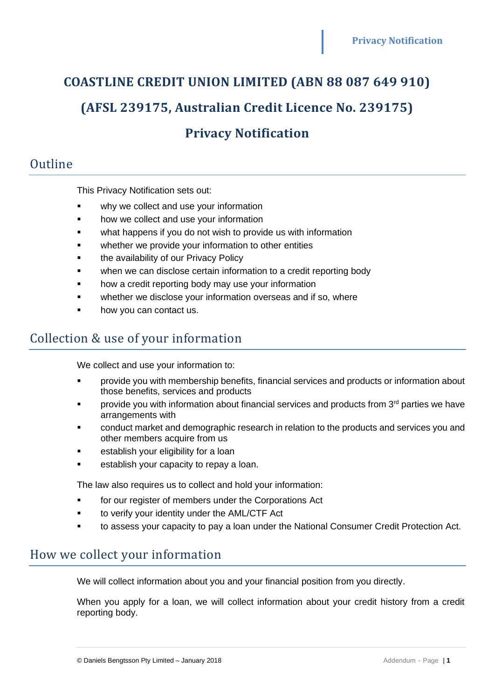# **COASTLINE CREDIT UNION LIMITED (ABN 88 087 649 910) (AFSL 239175, Australian Credit Licence No. 239175)**

# **Privacy Notification**

## Outline

This Privacy Notification sets out:

- why we collect and use your information
- how we collect and use your information
- what happens if you do not wish to provide us with information
- whether we provide your information to other entities
- **•** the availability of our Privacy Policy
- when we can disclose certain information to a credit reporting body
- how a credit reporting body may use your information
- whether we disclose your information overseas and if so, where
- how you can contact us.

## Collection & use of your information

We collect and use your information to:

- provide you with membership benefits, financial services and products or information about those benefits, services and products
- provide you with information about financial services and products from  $3<sup>rd</sup>$  parties we have arrangements with
- conduct market and demographic research in relation to the products and services you and other members acquire from us
- establish your eligibility for a loan
- establish your capacity to repay a loan.

The law also requires us to collect and hold your information:

- for our register of members under the Corporations Act
- to verify your identity under the AML/CTF Act
- to assess your capacity to pay a loan under the National Consumer Credit Protection Act.

#### How we collect your information

We will collect information about you and your financial position from you directly.

When you apply for a loan, we will collect information about your credit history from a credit reporting body.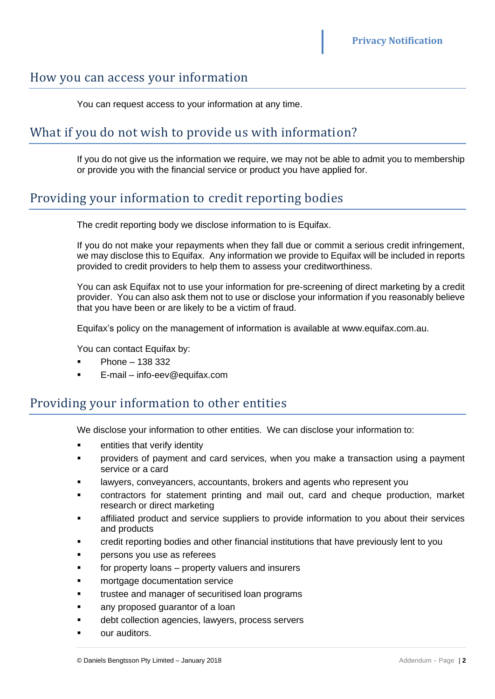#### How you can access your information

You can request access to your information at any time.

## What if you do not wish to provide us with information?

If you do not give us the information we require, we may not be able to admit you to membership or provide you with the financial service or product you have applied for.

## Providing your information to credit reporting bodies

The credit reporting body we disclose information to is Equifax.

If you do not make your repayments when they fall due or commit a serious credit infringement, we may disclose this to Equifax. Any information we provide to Equifax will be included in reports provided to credit providers to help them to assess your creditworthiness.

You can ask Equifax not to use your information for pre-screening of direct marketing by a credit provider. You can also ask them not to use or disclose your information if you reasonably believe that you have been or are likely to be a victim of fraud.

Equifax's policy on the management of information is available at www.equifax.com.au.

You can contact Equifax by:

- $Phone 138332$
- E-mail info-eev@equifax.com

#### Providing your information to other entities

We disclose your information to other entities. We can disclose your information to:

- entities that verify identity
- providers of payment and card services, when you make a transaction using a payment service or a card
- lawyers, conveyancers, accountants, brokers and agents who represent you
- contractors for statement printing and mail out, card and cheque production, market research or direct marketing
- affiliated product and service suppliers to provide information to you about their services and products
- credit reporting bodies and other financial institutions that have previously lent to you
- persons you use as referees
- for property loans property valuers and insurers
- mortgage documentation service
- trustee and manager of securitised loan programs
- any proposed quarantor of a loan
- debt collection agencies, lawyers, process servers
- our auditors.